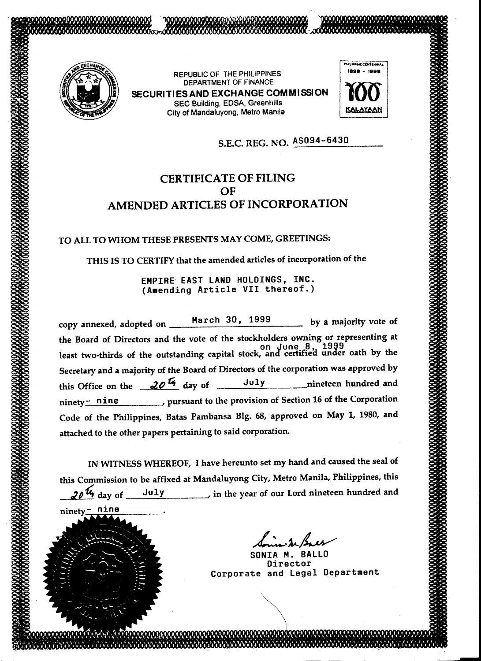

nine

 $ninety_$ 

REPUBLIC OF THE PHILIPPINES DEPARTMENT OF FINANCE SECURITIESAND EXCHANGE COMMISSION

SEC Building, EDSA, Greenhills City of Mandaluyong, Metro Manila



## S.E.C. REG. NO. AS094-6430

## CERTIFICATE OF FILING OF AMENDED ARTICLES OF INCORPORATION

TO ALL TO WHOM THESE PRESENTS MAY COME, GREETINGS:

THIS IS TO CERTIFY that the amended articles of incorporation of the

EMPIRE EAST LAND HOLDINGS, INC. (Amending Article VII thereof.)

copy annexed, adopted on \_\_\_\_\_March 30, 1999 by a majority vote of the Board of Directors and the vote of the stockholders owning or representing at on June B, 1999 least two-thirds of the outstanding capital stock, and certifiea under oath by the Secretary and a majority of the Board of Directors of the corporation was approved by this Office on the 20<sup>th</sup> day of July nineteen hundred and  $n$ inety $\frac{\cdot}{n}$  nine pursuant to the provision of Section 16 of the Corporation Code of the Philippines, Batas Pambansa Big. 68, approved on May 1, 1980, and attached to the other papers pertaining to said corporation.

IN WITNESS WHEREOF, I have hereunto set my hand and caused the seal of this Commission to be affixed at Mandaluyong City, Metro Manila, Philippines, this  $20\,\mathrm{W}$  day of July in the year of our Lord nineteen hundred and

L:...~~

SONIA M. BALLO Director Corporate and Legal Department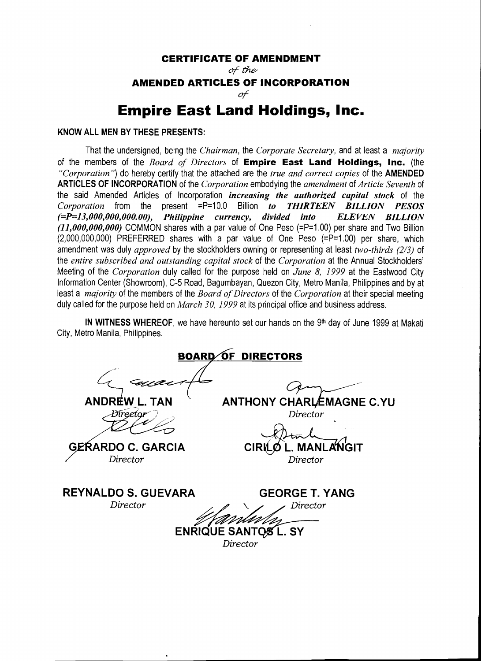## **CERTIFICATE OF AMENDMENT**

of the or~

## **AMENDED ARTICLES OF INCORPORATION**

or

# **Empire East Land Holdings, Inc.**

### **KNOW ALL MEN BY THESE PRESENTS:**

That the undersigned, being the *Chairman,* the *Corporate Secretary,* and at least a *majority*  of the members of the *Board of Directors* of **Empire East Land Holdings, Inc.** (the *"Corporation")* do hereby certify that the attached are the *true and correct copies* of the **AMENDED ARTICLES OF INCORPORATION** of the *Corporation* embodying the *amendment* of *Article Seventh* of the said Amended Articles of Incorporation *increasing the authorized capital stock* of the *Corporation* from the present =P=10.0 Billion *to THIRTEEN BILLION PESOS (=P=l3,000,000,000.00), Philippine currency, divided into ELEVEN BILLION (11,000,000,000)* COMMON shares with a par value of One Peso (=P=1.00) per share and Two Billion (2,000,000,000) PREFERRED shares with a par value of One Peso (=P=1.00) per share, which amendment was duly *approved* by the stockholders owning or representing at least *two-thirds (213)* of the *entire subscribed and outstanding capital stock* of the *Corporation* at the Annual Stockholders' Meeting of the *Corporation* duly called for the purpose held on *June 8, 1999* at the Eastwood City Information Center (Showroom), C-5 Road, Bagumbayan, Quezon City, Metro Manila, Philippines and by at least a *majority* of the members of the *Board of Directors* of the *Corporation* at their special meeting duly called for the purpose held on *March 30, 1999* at its principal office and business address.

**IN WITNESS WHEREOF,** we have hereunto set our hands on the 9<sup>th</sup> day of June 1999 at Makati City, Metro Manila, Philippines.

**BOARD OF DIRECTORS TAN ANDREW** ANTHONY CHARLEMAGNE C.YU  $\mathcal{A}=\mathcal{A}$  , and  $\mathcal{A}=\mathcal{A}$  , and  $\mathcal{A}=\mathcal{A}$  , and  $\mathcal{A}=\mathcal{A}$ *Director*  GERARDO C. GARCIA **MAN JGIT** Director *Director*  **REYNALDOS.GUEVARA GEORGE T. YANG**  *Director Director*  **ENRIQUE SANTOS L. SY** *Director*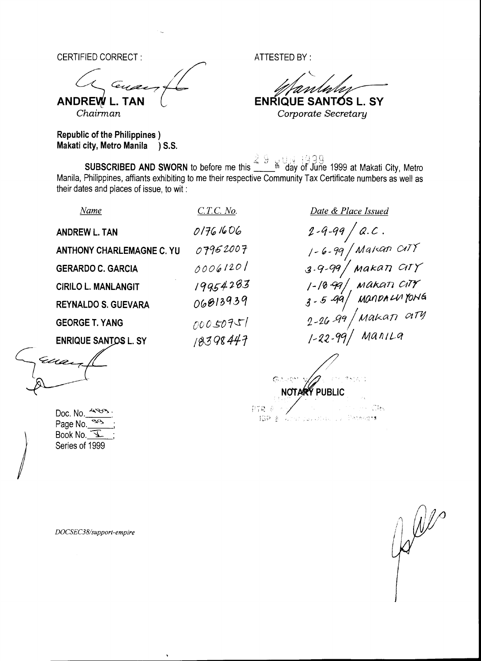CERTIFIED CORRECT : ATTESTED BY :

c;\_ ~// ANDRE~ **L. TAN** <sup>l</sup>

**ENRIQUE SANTOS L. SY** *Chairman Corporate Secretary* 

Republic of the Philippines ) Makati city, Metro Manila ) S.S.

 $2,~\mathbb{Q}_{++},~\mathbb{Q}_{++},~\mathbb{Q}_{++},~\mathbb{Q}_{++},~\mathbb{Q}_{++},~\mathbb{Q}_{++},~\mathbb{Q}_{++},~\mathbb{Q}_{++},~\mathbb{Q}_{++},~\mathbb{Q}_{++},~\mathbb{Q}_{++},~\mathbb{Q}_{++},~\mathbb{Q}_{++},~\mathbb{Q}_{++},~\mathbb{Q}_{++},~\mathbb{Q}_{++},~\mathbb{Q}_{++},~\mathbb{Q}_{++},~\mathbb{Q}_{++},~\mathbb{Q}_{++},~\mathbb{Q}_{++},~\mathbb{Q}_{++},~\mathbb{Q}_{++},~\mathbb{Q}_{++},~\$ 

SUBSCRIBED AND SWORN to before me this \_\_\_\_\_<sup>th</sup> day of June 1999 at Makati City, Metro Manila, Philippines, affiants exhibiting to me their respective Community Tax Certificate numbers as well as their dates and places of issue, to wit :

| Name                             | $C.T.C.$ No. | Date & Place Issued                                            |
|----------------------------------|--------------|----------------------------------------------------------------|
| <b>ANDREW L. TAN</b>             | 01761606     | $\frac{1}{2}$ .<br>$2 - 9 - 99$                                |
| <b>ANTHONY CHARLEMAGNE C. YU</b> | 07952007     | $1 - 6 - 99$ Makan CITY                                        |
| <b>GERARDO C. GARCIA</b>         | 00061201     | $^\prime$ мака $\eta$ $\alpha$ r $\gamma^\prime$<br>$3.9 - 99$ |
| <b>CIRILO L. MANLANGIT</b>       | 19954283     | ,<br>, макап стү<br>, мапрлим Yong<br>$1 - 10 - 99$            |
| <b>REYNALDO S. GUEVARA</b>       | 06813939     | $3 - 5 - 99$                                                   |
| <b>GEORGE T. YANG</b>            | 00050751     | $2 - 26$ 99 Makan ary                                          |
| <b>ENRIQUE SANTOS L. SY</b>      | 18398447     | Manila<br>$1 - 22 - 99$                                        |
| Eua                              |              |                                                                |
| Ø                                |              |                                                                |

 $\mathcal{V} \setminus \mathcal{Q}$  . iSP & windragularis, by Petergis. / ) 1-\

NOTA®Ý PUBLIC

Doc. No.  $483$ Page  $No.$   $\overline{a^{03}}$ Book No.  $\underline{\mathcal{F}}$ Series of 1999

*)* 

*DOCSEC38/support-empire* 

 $\mathbb{R}^{2d}$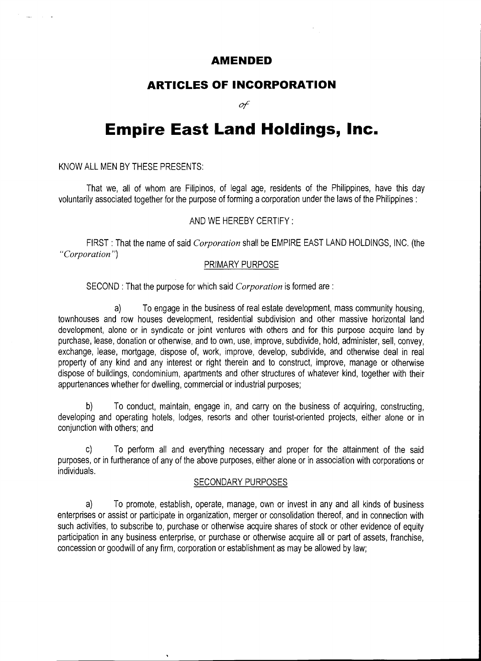## **AMENDED**

## **ARTICLES OF INCORPORATION**

of

# **Empire East Land Holdings, Inc.**

KNOW ALL MEN BY THESE PRESENTS:

عاديات اللقارية

That we, all of whom are Filipinos, of legal age, residents of the Philippines, have this day voluntarily associated together for the purpose of forming a corporation under the laws of the Philippines :

## AND WE HEREBY CERTIFY:

FIRST : That the name of said *Corporation* shall be EMPIRE EAST LAND HOLDINGS, INC. (the *"Corporation")* 

### PRIMARY PURPOSE

SECOND : That the purpose for which said *Corporation* is formed are :

a) To engage in the business of real estate development, mass community housing, townhouses and row houses development, residential subdivision and other massive horizontal land development, alone or in syndicate or joint ventures with others and for this purpose acquire land by purchase, lease, donation or otherwise, and to own, use, improve, subdivide, hold, administer, sell, convey, exchange, lease, mortgage, dispose of, work, improve, develop, subdivide, and otherwise deal in real property of any kind and any interest or right therein and to construct, improve, manage or otherwise dispose of buildings, condominium, apartments and other structures of whatever kind, together with their appurtenances whether for dwelling, commercial or industrial purposes;

b) To conduct, maintain, engage in, and carry on the business of acquiring, constructing, developing and operating hotels, lodges, resorts and other tourist-oriented projects, either alone or in conjunction with others; and

c) To perform all and everything necessary and proper for the attainment of the said purposes, or in furtherance of any of the above purposes, either alone or in association with corporations or individuals.

#### SECONDARY PURPOSES

a) To promote, establish, operate, manage, own or invest in any and all kinds of business enterprises or assist or participate in organization, merger or consolidation thereof, and in connection with such activities, to subscribe to, purchase or otherwise acquire shares of stock or other evidence of equity participation in any business enterprise, or purchase or otherwise acquire all or part of assets, franchise, concession or goodwill of any firm, corporation or establishment as may be allowed by law;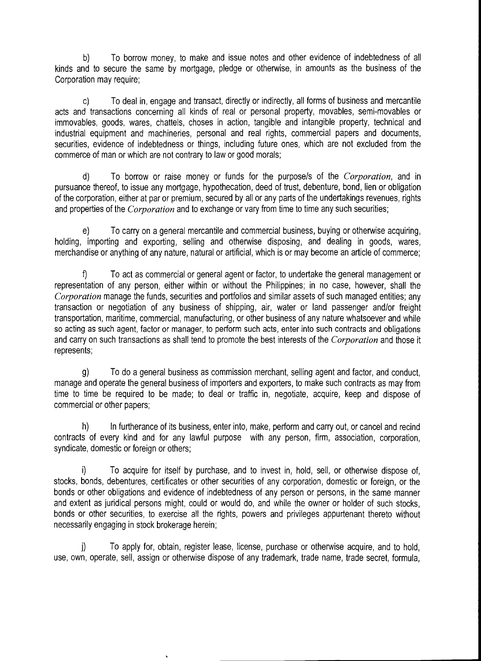b) To borrow money, to make and issue notes and other evidence of indebtedness of all kinds and to secure the same by mortgage, pledge or otherwise, in amounts as the business of the Corporation may require;

c) To deal in, engage and transact, directly or indirectly, all forms of business and mercantile acts and transactions concerning all kinds of real or personal property, movables, semi-movables or immovables, goods, wares, chattels, choses in action, tangible and intangible property, technical and industrial equipment and machineries, personal and real rights, commercial papers and documents, securities, evidence of indebtedness or things, including future ones, which are not excluded from the commerce of man or which are not contrary to law or good morals;

d) To borrow or raise money or funds for the purpose/s of the *Corporation,* and in pursuance thereof, to issue any mortgage, hypothecation, deed of trust, debenture, bond, lien or obligation of the corporation, either at par or premium, secured by all or any parts of the undertakings revenues, rights and properties of the *Corporation* and to exchange or vary from time to time any such securities;

e) To carry on a general mercantile and commercial business, buying or otherwise acquiring, holding, importing and exporting, selling and otherwise disposing, and dealing in goods, wares, merchandise or anything of any nature, natural or artificial, which is or may become an article of commerce;

f) To act as commercial or general agent or factor, to undertake the general management or representation of any person, either within or without the Philippines; in no case, however, shall the *Corporation* manage the funds, securities and portfolios and similar assets of such managed entities; any transaction or negotiation of any business of shipping, air, water or land passenger and/or freight transportation, maritime, commercial, manufacturing, or other business of any nature whatsoever and while so acting as such agent, factor or manager, to perform such acts, enter into such contracts and obligations and carry on such transactions as shall tend to promote the best interests of the *Corporation* and those it represents;

g) To do a general business as commission merchant, selling agent and factor, and conduct, manage and operate the general business of importers and exporters, to make such contracts as may from time to time be required to be made; to deal or traffic in, negotiate, acquire, keep and dispose of commercial or other papers;

h) In furtherance of its business, enter into, make, perform and carry out, or cancel and recind contracts of every kind and for any lawful purpose with any person, firm, association, corporation, syndicate, domestic or foreign or others;

To acquire for itself by purchase, and to invest in, hold, sell, or otherwise dispose of, stocks, bonds, debentures, certificates or other securities of any corporation, domestic or foreign, or the bonds or other obligations and evidence of indebtedness of any person or persons, in the same manner and extent as juridical persons might, could or would do, and while the owner or holder of such stocks, bonds or other securities, to exercise all the rights, powers and privileges appurtenant thereto without necessarily engaging in stock brokerage herein;

j) To apply for, obtain, register lease, license, purchase or otherwise acquire, and to hold, use, own, operate, sell, assign or otherwise dispose of any trademark, trade name, trade secret, formula,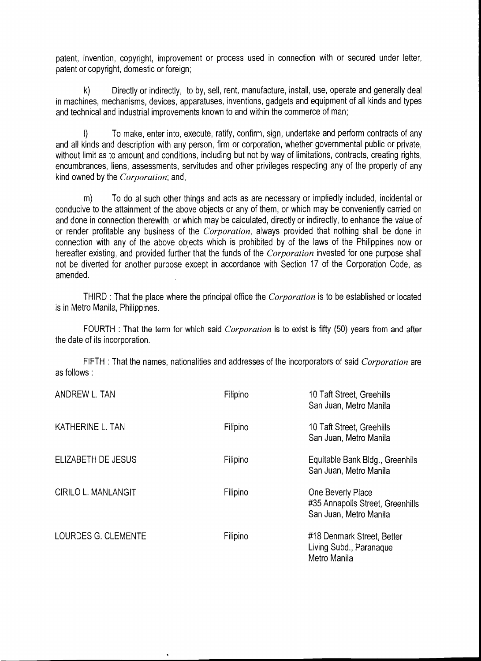patent, invention, copyright, improvement or process used in connection with or secured under letter, patent or copyright, domestic or foreign;

k) Directly or indirectly, to by, sell, rent, manufacture, install, use, operate and generally deal in machines, mechanisms, devices, apparatuses, inventions, gadgets and equipment of all kinds and types and technical and industrial improvements known to and within the commerce of man;

I) To make, enter into, execute, ratify, confirm, sign, undertake and perform contracts of any and all kinds and description with any person, firm or corporation, whether governmental public or private, without limit as to amount and conditions, including but not by way of limitations, contracts, creating rights, encumbrances, liens, assessments, servitudes and other privileges respecting any of the property of any kind owned by the *Corporation;* and,

m) To do al such other things and acts as are necessary or impliedly included, incidental or conducive to the attainment of the above objects or any of them, or which may be conveniently carried on and done in connection therewith, or which may be calculated, directly or indirectly, to enhance the value of or render profitable any business of the *Corporation,* always provided that nothing shall be done in connection with any of the above objects which is prohibited by of the laws of the Philippines now or hereafter existing, and provided further that the funds of the *Corporation* invested for one purpose shall not be diverted for another purpose except in accordance with Section 17 of the Corporation Code, as amended.

THIRD : That the place where the principal office the *Corporation* is to be established or located is in Metro Manila, Philippines.

FOURTH : That the term for which said *Corporation* is to exist is fifty (50) years from and after the date of its incorporation.

FIFTH : That the names, nationalities and addresses of the incorporators of said *Corporation* are as follows:

| ANDREW L. TAN              | Filipino | 10 Taft Street, Greehills<br>San Juan, Metro Manila                             |
|----------------------------|----------|---------------------------------------------------------------------------------|
| KATHERINE L. TAN           | Filipino | 10 Taft Street, Greehills<br>San Juan, Metro Manila                             |
| ELIZABETH DE JESUS         | Filipino | Equitable Bank Bldg., Greenhils<br>San Juan, Metro Manila                       |
| <b>CIRILO L. MANLANGIT</b> | Filipino | One Beverly Place<br>#35 Annapolis Street, Greenhills<br>San Juan, Metro Manila |
| LOURDES G. CLEMENTE        | Filipino | #18 Denmark Street, Better<br>Living Subd., Paranaque<br>Metro Manila           |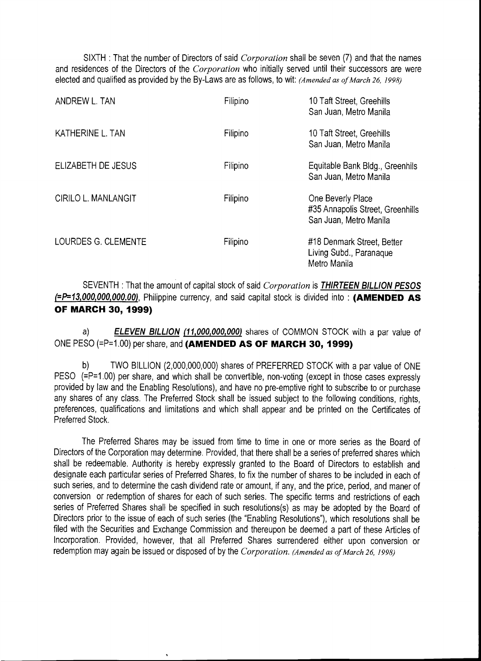SIXTH : That the number of Directors of said *Corporation* shall be seven (7) and that the names and residences of the Directors of the *Corporation* who initially served until their successors are were elected and qualified as provided by the By-Laws are as follows, to wit: *(Amended as of March 26, 1998)* 

| ANDREW L. TAN              | Filipino | 10 Taft Street, Greehills<br>San Juan, Metro Manila                             |
|----------------------------|----------|---------------------------------------------------------------------------------|
| KATHERINE L. TAN           | Filipino | 10 Taft Street, Greehills<br>San Juan, Metro Manila                             |
| ELIZABETH DE JESUS         | Filipino | Equitable Bank Bldg., Greenhils<br>San Juan, Metro Manila                       |
| <b>CIRILO L. MANLANGIT</b> | Filipino | One Beverly Place<br>#35 Annapolis Street, Greenhills<br>San Juan, Metro Manila |
| LOURDES G. CLEMENTE        | Filipino | #18 Denmark Street, Better<br>Living Subd., Paranaque<br>Metro Manila           |

SEVENTH : That the amount of capital stock of said *Corporation* is **THIRTEEN BILLION PESOS (=P=13,000,000,000.00),** Philippine currency, and said capital stock is divided into : **(AMENDED AS OF MARCH 30, 1999)** 

a) **ELEVEN BILLION (11,000,000,000)** shares of COMMON STOCK with a par value of ONE PESO (=P=1.00) per share, and **(AMENDED AS OF MARCH 30, 1999)** 

TWO BILLION (2,000,000,000) shares of PREFERRED STOCK with a par value of ONE PESO (=P=1.00) per share, and which shall be convertible, non-voting (except in those cases expressly provided by law and the Enabling Resolutions), and have no pre-emptive right to subscribe to or purchase any shares of any class. The Preferred Stock shall be issued subject to the following conditions, rights, preferences, qualifications and limitations and which shall appear and be printed on the Certificates of Preferred Stock.

The Preferred Shares may be issued from time to time in one or more series as the Board of Directors of the Corporation may determine. Provided, that there shall be a series of preferred shares which shall be redeemable. Authority is hereby expressly granted to the Board of Directors to establish and designate each particular series of Preferred Shares, to fix the number of shares to be included in each of such series, and to determine the cash dividend rate or amount, if any, and the price, period, and maner of conversion or redemption of shares for each of such series. The specific terms and restrictions of each series of Preferred Shares shall be specified in such resolutions(s) as may be adopted by the Board of Directors prior to the issue of each of such series (the "Enabling Resolutions"), which resolutions shall be filed with the Securities and Exchange Commission and thereupon be deemed a part of these Articles of Incorporation. Provided, however, that all Preferred Shares surrendered either upon conversion or redemption may again be issued or disposed of by the *Corporation. (Amended as of March 26, 1998)*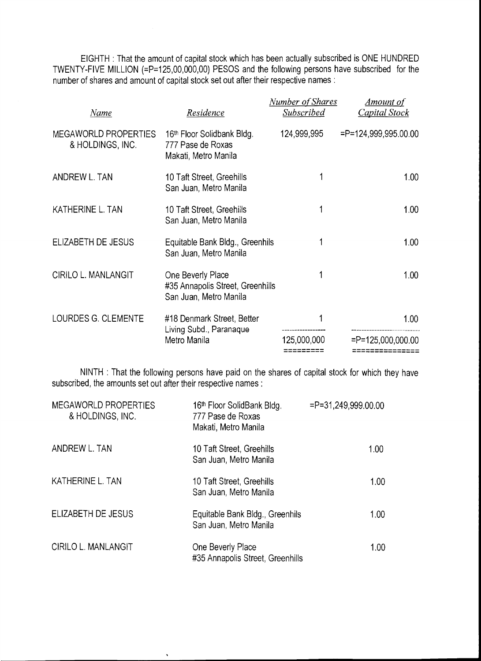EIGHTH : That the amount of capital stock which has been actually subscribed is ONE HUNDRED TWENTY-FIVE MILLION (=P=125,00,000,00) PESOS and the following persons have subscribed for the number of shares and amount of capital stock set out after their respective names :

| Name                                            | Residence                                                                       | <b>Number of Shares</b><br><b>Subscribed</b> | <u>Amount of</u><br><b>Capital Stock</b> |
|-------------------------------------------------|---------------------------------------------------------------------------------|----------------------------------------------|------------------------------------------|
| <b>MEGAWORLD PROPERTIES</b><br>& HOLDINGS, INC. | 16th Floor Solidbank Bldg.<br>777 Pase de Roxas<br>Makati, Metro Manila         | 124,999,995                                  | $=$ P=124,999,995.00.00                  |
| ANDREW L. TAN                                   | 10 Taft Street, Greehills<br>San Juan, Metro Manila                             |                                              | 1.00 <sub>1</sub>                        |
| KATHERINE L. TAN                                | 10 Taft Street, Greehills<br>San Juan, Metro Manila                             |                                              | 1.00                                     |
| ELIZABETH DE JESUS                              | Equitable Bank Bldg., Greenhils<br>San Juan, Metro Manila                       |                                              | 1.00 <sub>1</sub>                        |
| <b>CIRILO L. MANLANGIT</b>                      | One Beverly Place<br>#35 Annapolis Street, Greenhills<br>San Juan, Metro Manila | 1                                            | 1.00                                     |
| LOURDES G. CLEMENTE                             | #18 Denmark Street, Better<br>Living Subd., Paranaque                           |                                              | 1.00                                     |
|                                                 | Metro Manila                                                                    | 125,000,000                                  | $=$ P=125,000,000.00                     |

NINTH : That the following persons have paid on the shares of capital stock for which they have subscribed, the amounts set out after their respective names :

| MEGAWORLD PROPERTIES<br>& HOLDINGS, INC. | 16th Floor SolidBank Bldg.<br>777 Pase de Roxas<br>Makati, Metro Manila | $= P = 31,249,999.00.00$ |
|------------------------------------------|-------------------------------------------------------------------------|--------------------------|
| ANDREW L. TAN                            | 10 Taft Street, Greehills<br>San Juan, Metro Manila                     | 1.00                     |
| KATHERINE L. TAN                         | 10 Taft Street, Greehills<br>San Juan, Metro Manila                     | 1.00 <sub>1</sub>        |
| ELIZABETH DE JESUS                       | Equitable Bank Bldg., Greenhils<br>San Juan, Metro Manila               | 1.00                     |
| CIRILO L. MANLANGIT                      | One Beverly Place<br>#35 Annapolis Street, Greenhills                   | 1.00 <sub>1</sub>        |

 $\ddot{\phantom{0}}$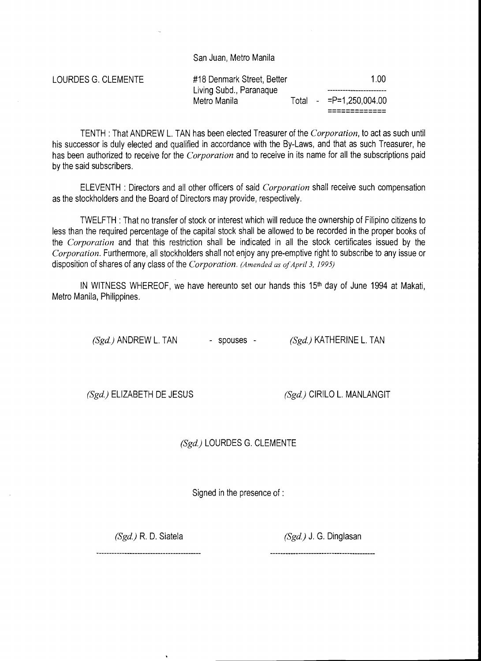San Juan, Metro Manila

LOURDES G. CLEMENTE #18 Denmark Street, Better 1.00 Living Subd., Paranaque Metro Manila **Total - =P=1,250,004.00** ------------- -------------

TENTH :That ANDREW L. TAN has been elected Treasurer of the *Corporation,* to act as such until his successor is duly elected and qualified in accordance with the By-Laws, and that as such Treasurer, he has been authorized to receive for the *Corporation* and to receive in its name for all the subscriptions paid by the said subscribers.

ELEVENTH : Directors and all other officers of said *Corporation* shall receive such compensation as the stockholders and the Board of Directors may provide, respectively.

TWELFTH : That no transfer of stock or interest which will reduce the ownership of Filipino citizens to less than the required percentage of the capital stock shall be allowed to be recorded in the proper books of the *Corporation* and that this restriction shall be indicated in all the stock certificates issued by the *Corporation.* Furthermore, all stockholders shall not enjoy any pre-emptive right to subscribe to any issue or disposition of shares of any class of the *Corporation. (Amended as of April 3, 1995)* 

IN WITNESS WHEREOF, we have hereunto set our hands this 15<sup>th</sup> day of June 1994 at Makati, Metro Manila, Philippines.

*(Sgd.)* ANDREW L. TAN - spouses - *(Sgd.)* KATHERINE L. TAN

*(Sgd.)* ELIZABETH DE JESUS *(Sgd.)* CIRILO L. MANLANGIT

*(Sgd.)* LOURDES G. CLEMENTE

Signed in the presence of :

*(Sgd.)* R. D. Siatela *(Sgd.)* J. G. Dinglasan